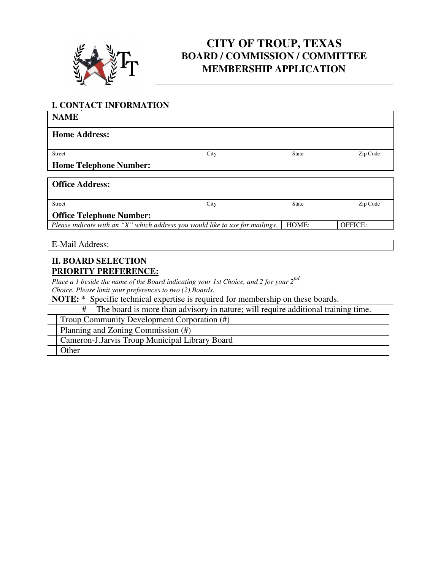

# **CITY OF TROUP, TEXAS BOARD / COMMISSION / COMMITTEE MEMBERSHIP APPLICATION**

 $\overline{\phantom{a}}$ 

## **I. CONTACT INFORMATION** *.*

**NAME**

| .                                                                             |      |              |                |
|-------------------------------------------------------------------------------|------|--------------|----------------|
| <b>Home Address:</b>                                                          |      |              |                |
|                                                                               |      |              |                |
| <b>Street</b>                                                                 | City | <b>State</b> | Zip Code       |
| <b>Home Telephone Number:</b>                                                 |      |              |                |
|                                                                               |      |              |                |
| <b>Office Address:</b>                                                        |      |              |                |
|                                                                               |      |              |                |
| <b>Street</b>                                                                 | City | <b>State</b> | Zip Code       |
| <b>Office Telephone Number:</b>                                               |      |              |                |
| Please indicate with an "X" which address you would like to use for mailings. |      | HOME:        | <b>OFFICE:</b> |
|                                                                               |      |              |                |

E-Mail Address:

#### **II. BOARD SELECTION PRIORITY PREFERENCE:**

*Place a 1 beside the name of the Board indicating your 1st Choice, and 2 for your 2nd Choice. Please limit your preferences to two (2) Boards.*

**NOTE:** \* Specific technical expertise is required for membership on these boards.

# The board is more than advisory in nature; will require additional training time.

Troup Community Development Corporation (#)

Planning and Zoning Commission (#)

Cameron-J.Jarvis Troup Municipal Library Board

Other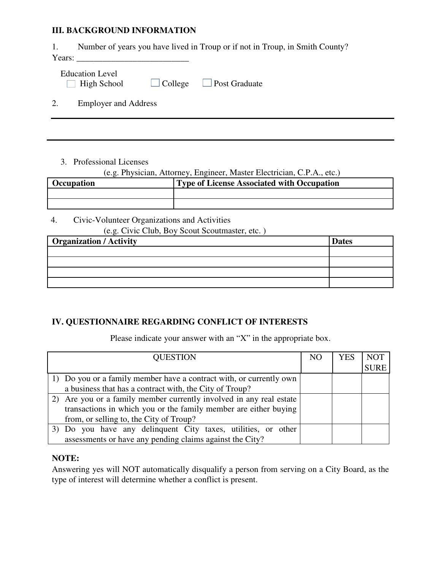#### **III. BACKGROUND INFORMATION**

1. Number of years you have lived in Troup or if not in Troup, in Smith County?

Years: \_\_\_\_\_\_\_\_\_\_\_\_\_\_\_\_\_\_\_\_\_\_\_\_\_\_

| <b>Education Level</b> |                |                      |  |
|------------------------|----------------|----------------------|--|
| $\Box$ High School     | $\Box$ College | $\Box$ Post Graduate |  |

2. Employer and Address

3. Professional Licenses

### (e.g. Physician, Attorney, Engineer, Master Electrician, C.P.A., etc.)

| <b>Occupation</b> | Type of License Associated with Occupation |
|-------------------|--------------------------------------------|
|                   |                                            |
|                   |                                            |

ـا<br>ا 4. Civic-Volunteer Organizations and Activities  $\overline{C}$  Civic  $\overline{C}$ lub, Boy Scout Scoutmaster, etc. )

| (e.g. Civic Ciub, Boy Scout Scoutmaster, etc.) |              |
|------------------------------------------------|--------------|
| <b>Organization / Activity</b>                 | <b>Dates</b> |
|                                                |              |
|                                                |              |
|                                                |              |
|                                                |              |

## **IV. QUESTIONNAIRE REGARDING CONFLICT OF INTERESTS**

Please indicate your answer with an "X" in the appropriate box.

| <b>QUESTION</b>                                                     | NO | YES | <b>NOT</b>  |
|---------------------------------------------------------------------|----|-----|-------------|
|                                                                     |    |     | <b>SURE</b> |
| 1) Do you or a family member have a contract with, or currently own |    |     |             |
| a business that has a contract with, the City of Troup?             |    |     |             |
| Are you or a family member currently involved in any real estate    |    |     |             |
| transactions in which you or the family member are either buying    |    |     |             |
| from, or selling to, the City of Troup?                             |    |     |             |
| 3) Do you have any delinquent City taxes, utilities, or other       |    |     |             |
| assessments or have any pending claims against the City?            |    |     |             |

## **NOTE:**

Answering yes will NOT automatically disqualify a person from serving on a City Board, as the type of interest will determine whether a conflict is present.